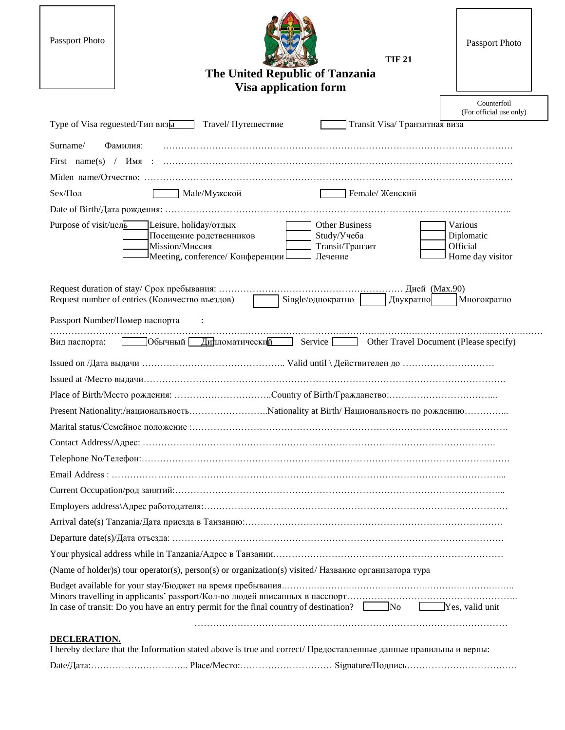| Passport Photo                                                                                                                           | The United Republic of Tanzania<br><b>Visa application form</b>    | <b>TIF 21</b>                 | Passport Photo                                        |
|------------------------------------------------------------------------------------------------------------------------------------------|--------------------------------------------------------------------|-------------------------------|-------------------------------------------------------|
|                                                                                                                                          |                                                                    |                               | Counterfoil<br>(For official use only)                |
| Type of Visa reguested/Тип визы<br>Travel/ Путешествие                                                                                   |                                                                    | Transit Visa/ Транзитная виза |                                                       |
| Surname/<br>Фамилия:                                                                                                                     |                                                                    |                               |                                                       |
|                                                                                                                                          |                                                                    |                               |                                                       |
|                                                                                                                                          |                                                                    |                               |                                                       |
| Sex/Пол<br>Male/Мужской                                                                                                                  |                                                                    | Female/ Женский               |                                                       |
|                                                                                                                                          |                                                                    |                               |                                                       |
| Purpose of visit/цель<br>Leisure, holiday/отдых<br>Посещение родственников<br>Mission/Миссия<br>Meeting, conference/ Конференции         | <b>Other Business</b><br>Study/Учеба<br>Transit/Транзит<br>Лечение |                               | Various<br>Diplomatic<br>Official<br>Home day visitor |
| Request number of entries (Количество въездов)<br>Single/однократно<br>Двукратно<br>Многократно                                          |                                                                    |                               |                                                       |
| Passport Number/Номер паспорта                                                                                                           |                                                                    |                               |                                                       |
| Обычный Дипломатический Service Other Travel Document (Please specify)<br>Вид паспорта:                                                  |                                                                    |                               |                                                       |
|                                                                                                                                          |                                                                    |                               |                                                       |
|                                                                                                                                          |                                                                    |                               |                                                       |
|                                                                                                                                          |                                                                    |                               |                                                       |
| Present Nationality:/национальностьNationality at Birth/ Национальность по рождению                                                      |                                                                    |                               |                                                       |
|                                                                                                                                          |                                                                    |                               |                                                       |
|                                                                                                                                          |                                                                    |                               |                                                       |
|                                                                                                                                          |                                                                    |                               |                                                       |
|                                                                                                                                          |                                                                    |                               |                                                       |
|                                                                                                                                          |                                                                    |                               |                                                       |
|                                                                                                                                          |                                                                    |                               |                                                       |
|                                                                                                                                          |                                                                    |                               |                                                       |
|                                                                                                                                          |                                                                    |                               |                                                       |
|                                                                                                                                          |                                                                    |                               |                                                       |
| (Name of holder)s) tour operator(s), person(s) or organization(s) visited/ Название организатора тура                                    |                                                                    |                               |                                                       |
| In case of transit: Do you have an entry permit for the final country of destination? No No Yes, valid unit                              |                                                                    |                               |                                                       |
|                                                                                                                                          |                                                                    |                               |                                                       |
| <b>DECLERATION.</b><br>I hereby declare that the Information stated above is true and correct/ Предоставленные данные правильны и верны: |                                                                    |                               |                                                       |
|                                                                                                                                          |                                                                    |                               |                                                       |

 $\overline{\phantom{a}}$